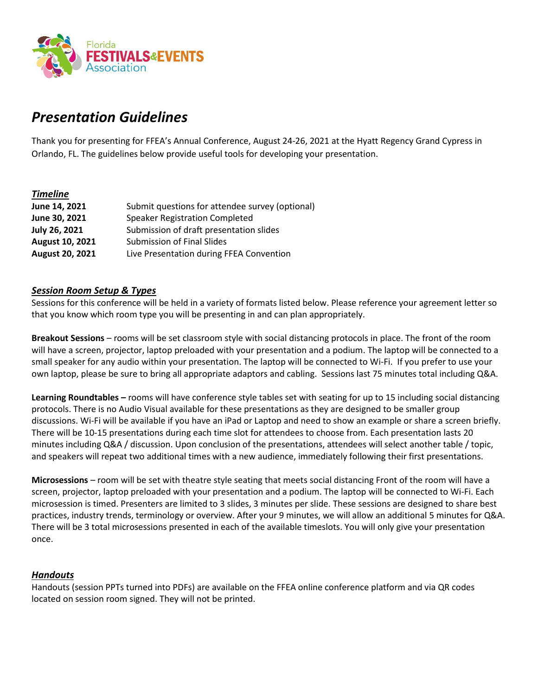

# *Presentation Guidelines*

Thank you for presenting for FFEA's Annual Conference, August 24-26, 2021 at the Hyatt Regency Grand Cypress in Orlando, FL. The guidelines below provide useful tools for developing your presentation.

## *Timeline*

| Submit questions for attendee survey (optional) |
|-------------------------------------------------|
| <b>Speaker Registration Completed</b>           |
| Submission of draft presentation slides         |
| Submission of Final Slides                      |
| Live Presentation during FFEA Convention        |
|                                                 |

## *Session Room Setup & Types*

Sessions for this conference will be held in a variety of formats listed below. Please reference your agreement letter so that you know which room type you will be presenting in and can plan appropriately.

**Breakout Sessions** – rooms will be set classroom style with social distancing protocols in place. The front of the room will have a screen, projector, laptop preloaded with your presentation and a podium. The laptop will be connected to a small speaker for any audio within your presentation. The laptop will be connected to Wi-Fi. If you prefer to use your own laptop, please be sure to bring all appropriate adaptors and cabling. Sessions last 75 minutes total including Q&A.

**Learning Roundtables –** rooms will have conference style tables set with seating for up to 15 including social distancing protocols. There is no Audio Visual available for these presentations as they are designed to be smaller group discussions. Wi-Fi will be available if you have an iPad or Laptop and need to show an example or share a screen briefly. There will be 10-15 presentations during each time slot for attendees to choose from. Each presentation lasts 20 minutes including Q&A / discussion. Upon conclusion of the presentations, attendees will select another table / topic, and speakers will repeat two additional times with a new audience, immediately following their first presentations.

**Microsessions** – room will be set with theatre style seating that meets social distancing Front of the room will have a screen, projector, laptop preloaded with your presentation and a podium. The laptop will be connected to Wi-Fi. Each microsession is timed. Presenters are limited to 3 slides, 3 minutes per slide. These sessions are designed to share best practices, industry trends, terminology or overview. After your 9 minutes, we will allow an additional 5 minutes for Q&A. There will be 3 total microsessions presented in each of the available timeslots. You will only give your presentation once.

## *Handouts*

Handouts (session PPTs turned into PDFs) are available on the FFEA online conference platform and via QR codes located on session room signed. They will not be printed.